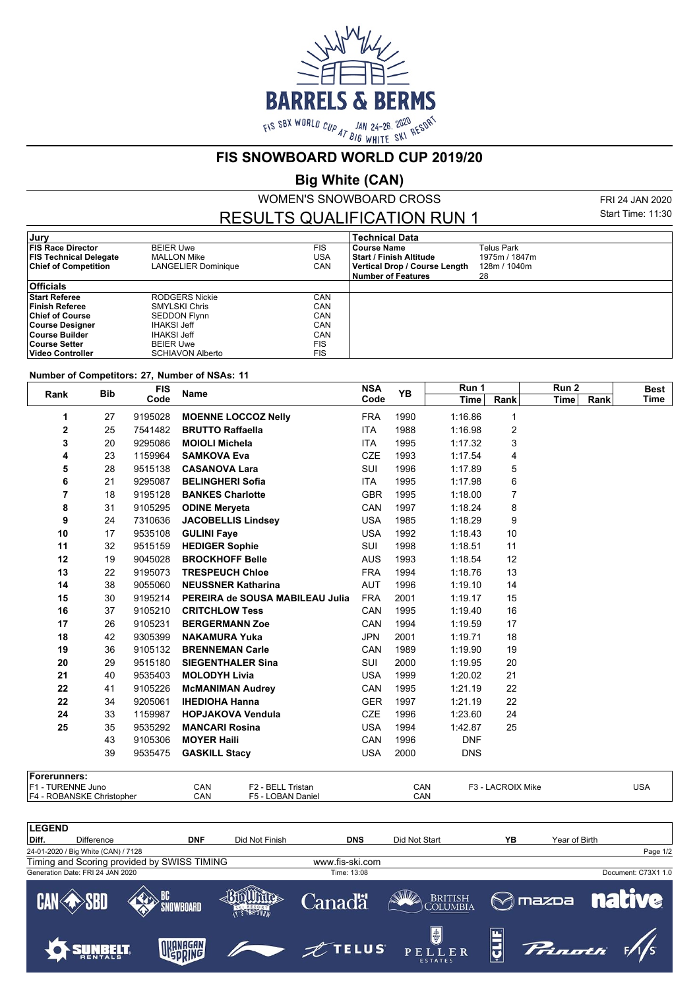

**FIS SNOWBOARD WORLD CUP 2019/20**

**Big White (CAN)**

WOMEN'S SNOWBOARD CROSS

RESULTS QUALIFICATION RUN 1

FRI 24 JAN 2020 Start Time: 11:30

| Jury                          |                         |            | <b>Technical Data</b>          |               |
|-------------------------------|-------------------------|------------|--------------------------------|---------------|
| <b>FIS Race Director</b>      | <b>BEIER Uwe</b>        | <b>FIS</b> | <b>Course Name</b>             | Telus Park    |
| <b>FIS Technical Delegate</b> | <b>MALLON Mike</b>      | USA        | <b>Start / Finish Altitude</b> | 1975m / 1847m |
| <b>Chief of Competition</b>   | LANGELIER Dominique     | CAN        | Vertical Drop / Course Length  | 128m / 1040m  |
|                               |                         |            | <b>Number of Features</b>      | 28            |
| <b>Officials</b>              |                         |            |                                |               |
| <b>Start Referee</b>          | RODGERS Nickie          | CAN        |                                |               |
| Finish Referee                | <b>SMYLSKI Chris</b>    | CAN        |                                |               |
| <b>Chief of Course</b>        | <b>SEDDON Flynn</b>     | CAN        |                                |               |
| Course Designer               | <b>IHAKSI Jeff</b>      | CAN        |                                |               |
| ∣Course Builder               | <b>IHAKSI Jeff</b>      | CAN        |                                |               |
| Course Setter                 | <b>BEIER Uwe</b>        | <b>FIS</b> |                                |               |
| Video Controller              | <b>SCHIAVON Alberto</b> | FIS        |                                |               |

## **Number of Competitors: 27, Number of NSAs: 11**

| <b>FIS</b><br><b>Bib</b><br>Rank<br>Code |    | <b>Name</b> | <b>NSA</b>                                                                                                                                   | <b>YB</b>  | Run 1 |                     | Run 2                                | <b>Best</b> |      |
|------------------------------------------|----|-------------|----------------------------------------------------------------------------------------------------------------------------------------------|------------|-------|---------------------|--------------------------------------|-------------|------|
|                                          |    | Code        |                                                                                                                                              | Time       | Rank  | <b>Time</b><br>Rank | Time                                 |             |      |
| 1                                        | 27 | 9195028     | <b>MOENNE LOCCOZ Nelly</b>                                                                                                                   | <b>FRA</b> | 1990  | 1:16.86             | 1                                    |             |      |
| 2                                        | 25 | 7541482     | <b>BRUTTO Raffaella</b>                                                                                                                      | <b>ITA</b> | 1988  | 1:16.98             | 2                                    |             |      |
| 3                                        | 20 | 9295086     | <b>MOIOLI Michela</b>                                                                                                                        | <b>ITA</b> | 1995  | 1:17.32             | 3                                    |             |      |
| 4                                        | 23 | 1159964     | <b>SAMKOVA Eva</b>                                                                                                                           | <b>CZE</b> | 1993  | 1:17.54             | 4                                    |             |      |
| 5                                        | 28 | 9515138     | <b>CASANOVA Lara</b>                                                                                                                         | SUI        | 1996  | 1:17.89             | 5                                    |             |      |
| 6                                        | 21 | 9295087     | <b>BELINGHERI Sofia</b>                                                                                                                      | <b>ITA</b> | 1995  | 1:17.98             | 6                                    |             |      |
| 7                                        | 18 | 9195128     | <b>BANKES Charlotte</b>                                                                                                                      | <b>GBR</b> | 1995  | 1:18.00             | 7                                    |             |      |
| 8                                        | 31 | 9105295     | <b>ODINE Merveta</b>                                                                                                                         | CAN        | 1997  | 1:18.24             | 8                                    |             |      |
| 9                                        | 24 | 7310636     | <b>JACOBELLIS Lindsey</b>                                                                                                                    | <b>USA</b> | 1985  | 1:18.29             | 9                                    |             |      |
| 10                                       | 17 | 9535108     | <b>GULINI Faye</b>                                                                                                                           | <b>USA</b> | 1992  | 1:18.43             | 10                                   |             |      |
| 11                                       | 32 | 9515159     | <b>HEDIGER Sophie</b>                                                                                                                        | SUI        | 1998  | 1:18.51             | 11                                   |             |      |
| 12                                       | 19 | 9045028     | <b>BROCKHOFF Belle</b>                                                                                                                       | <b>AUS</b> | 1993  | 1:18.54             | 12                                   |             |      |
| 13                                       | 22 | 9195073     | <b>TRESPEUCH Chloe</b>                                                                                                                       | <b>FRA</b> | 1994  | 1:18.76             | 13                                   |             |      |
| 14                                       | 38 | 9055060     | <b>NEUSSNER Katharina</b>                                                                                                                    | <b>AUT</b> | 1996  | 1:19.10             | 14                                   |             |      |
| 15                                       | 30 | 9195214     | PEREIRA de SOUSA MABILEAU Julia                                                                                                              | <b>FRA</b> | 2001  | 1:19.17             | 15                                   |             |      |
| 16                                       | 37 | 9105210     | <b>CRITCHLOW Tess</b>                                                                                                                        | CAN        | 1995  | 1:19.40             | 16                                   |             |      |
| 17                                       | 26 | 9105231     | <b>BERGERMANN Zoe</b>                                                                                                                        | CAN        | 1994  | 1:19.59             | 17                                   |             |      |
| 18                                       | 42 | 9305399     | <b>NAKAMURA Yuka</b>                                                                                                                         | <b>JPN</b> | 2001  | 1:19.71             | 18                                   |             |      |
| 19                                       | 36 | 9105132     | <b>BRENNEMAN Carle</b>                                                                                                                       | CAN        | 1989  | 1:19.90             | 19                                   |             |      |
| 20                                       | 29 | 9515180     | <b>SIEGENTHALER Sina</b>                                                                                                                     | SUI        | 2000  | 1:19.95             | 20                                   |             |      |
| 21                                       | 40 | 9535403     | <b>MOLODYH Livia</b>                                                                                                                         | <b>USA</b> | 1999  | 1:20.02             | 21                                   |             |      |
| 22                                       | 41 | 9105226     | <b>McMANIMAN Audrey</b>                                                                                                                      | CAN        | 1995  | 1:21.19             | 22                                   |             |      |
| 22                                       | 34 | 9205061     | <b>IHEDIOHA Hanna</b>                                                                                                                        | <b>GER</b> | 1997  | 1:21.19             | 22                                   |             |      |
| 24                                       | 33 | 1159987     | <b>HOPJAKOVA Vendula</b>                                                                                                                     | <b>CZE</b> | 1996  | 1:23.60             | 24                                   |             |      |
| 25                                       | 35 | 9535292     | <b>MANCARI Rosina</b>                                                                                                                        | <b>USA</b> | 1994  | 1:42.87             | 25                                   |             |      |
|                                          | 43 | 9105306     | <b>MOYER Haili</b>                                                                                                                           | CAN        | 1996  | <b>DNF</b>          |                                      |             |      |
|                                          | 39 | 9535475     | <b>GASKILL Stacy</b>                                                                                                                         | <b>USA</b> | 2000  | <b>DNS</b>          |                                      |             |      |
| Forerunners:                             |    |             |                                                                                                                                              |            |       |                     |                                      |             |      |
| <b>E4 TUDEMME Luss</b>                   |    |             | CAN<br>$\Gamma$ <sup>0</sup> $\Gamma$ $\Gamma$ $\Gamma$ $\Gamma$ <sup><math>\Gamma</math></sup> $\Gamma$ $\Gamma$ $\Gamma$ $\Gamma$ $\Gamma$ |            | CAN   |                     | $\Gamma$ <sup>2</sup>   ACDOIV Miles |             | 110A |

| IF1 - TURENNE Juno                  |                                             | CAN<br>F <sub>2</sub> - BELL Tristan |                 | CAN                                 | F3 - LACROIX Mike |               | <b>USA</b>          |
|-------------------------------------|---------------------------------------------|--------------------------------------|-----------------|-------------------------------------|-------------------|---------------|---------------------|
| F4 - ROBANSKE Christopher           |                                             | CAN<br>F5 - LOBAN Daniel             |                 | CAN                                 |                   |               |                     |
|                                     |                                             |                                      |                 |                                     |                   |               |                     |
| <b>LEGEND</b>                       |                                             |                                      |                 |                                     |                   |               |                     |
| Diff.<br>Difference                 | <b>DNF</b>                                  | Did Not Finish                       | <b>DNS</b>      | Did Not Start                       | YB                | Year of Birth |                     |
| 24-01-2020 / Big White (CAN) / 7128 |                                             |                                      |                 |                                     |                   |               | Page 1/2            |
|                                     | Timing and Scoring provided by SWISS TIMING |                                      | www.fis-ski.com |                                     |                   |               |                     |
| Generation Date: FRI 24 JAN 2020    |                                             |                                      | Time: 13:08     |                                     |                   |               | Document: C73X1 1.0 |
|                                     | SNOWBOARD                                   | IT'S THE SNOW                        | Canadä'         | <b>ANNIA</b><br>BRITISH<br>Columbia | $\odot$ mazpa     |               | <b>native</b>       |



LER

 $P E L$